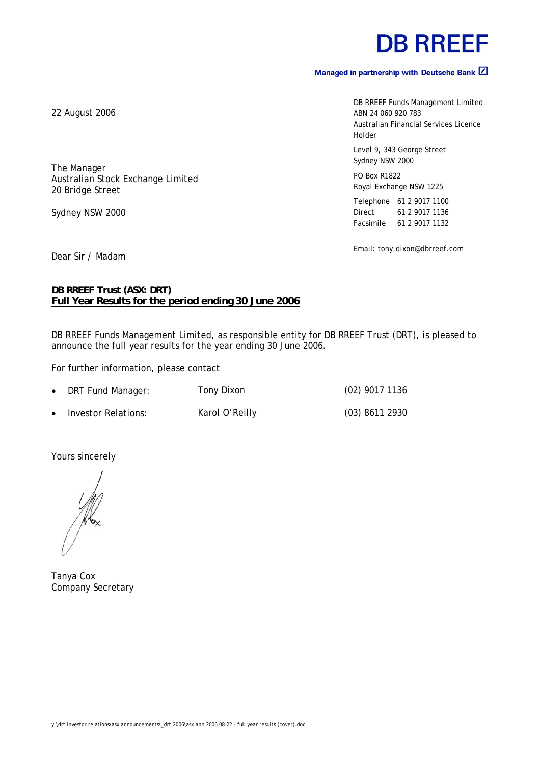# **DB RREEF**

#### Managed in partnership with Deutsche Bank  $\boxed{2}$

DB RREEF Funds Management Limited ABN 24 060 920 783 Australian Financial Services Licence Holder

Level 9, 343 George Street Sydney NSW 2000

PO Box R1822 Royal Exchange NSW 1225

Telephone 61 2 9017 1100 Direct 61 2 9017 1136 Facsimile 61 2 9017 1132

Email: tony.dixon@dbrreef.com

Dear Sir / Madam

#### **DB RREEF Trust (ASX: DRT) Full Year Results for the period ending 30 June 2006**

DB RREEF Funds Management Limited, as responsible entity for DB RREEF Trust (DRT), is pleased to announce the full year results for the year ending 30 June 2006.

For further information, please contact

|           | • DRT Fund Manager: | Tony Dixon     | $(02)$ 9017 1136 |
|-----------|---------------------|----------------|------------------|
| $\bullet$ | Investor Relations: | Karol O'Reilly | $(03)$ 8611 2930 |

Yours sincerely

 $\sqrt{\frac{1}{2}}$ 

Tanya Cox Company Secretary

22 August 2006

The Manager Australian Stock Exchange Limited 20 Bridge Street

Sydney NSW 2000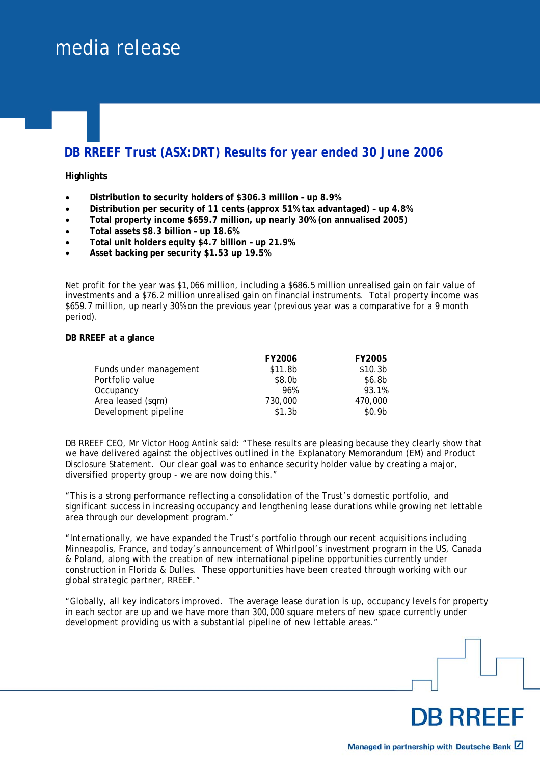## media release

### **DB RREEF Trust (ASX:DRT) Results for year ended 30 June 2006**

#### **Highlights**

- **Distribution to security holders of \$306.3 million up 8.9%**
- **Distribution per security of 11 cents (approx 51% tax advantaged) up 4.8%**
- **Total property income \$659.7 million, up nearly 30% (on annualised 2005)**
- **Total assets \$8.3 billion up 18.6%**
- **Total unit holders equity \$4.7 billion up 21.9%**
- **Asset backing per security \$1.53 up 19.5%**

Net profit for the year was \$1,066 million, including a \$686.5 million unrealised gain on fair value of investments and a \$76.2 million unrealised gain on financial instruments. Total property income was \$659.7 million, up nearly 30% on the previous year (previous year was a comparative for a 9 month period).

#### **DB RREEF at a glance**

|                        | <b>FY2006</b>      | <b>FY2005</b>       |
|------------------------|--------------------|---------------------|
| Funds under management | \$11.8b            | \$10.3 <sub>b</sub> |
| Portfolio value        | \$8.0b             | \$6.8 <sub>b</sub>  |
| Occupancy              | 96%                | 93.1%               |
| Area leased (sqm)      | 730,000            | 470,000             |
| Development pipeline   | \$1.3 <sub>b</sub> | \$0.9 <sub>b</sub>  |

DB RREEF CEO, Mr Victor Hoog Antink said: "These results are pleasing because they clearly show that we have delivered against the objectives outlined in the Explanatory Memorandum (EM) and Product Disclosure Statement. Our clear goal was to enhance security holder value by creating a major, diversified property group - we are now doing this."

"This is a strong performance reflecting a consolidation of the Trust's domestic portfolio, and significant success in increasing occupancy and lengthening lease durations while growing net lettable area through our development program."

"Internationally, we have expanded the Trust's portfolio through our recent acquisitions including Minneapolis, France, and today's announcement of Whirlpool's investment program in the US, Canada & Poland, along with the creation of new international pipeline opportunities currently under construction in Florida & Dulles. These opportunities have been created through working with our global strategic partner, RREEF."

"Globally, all key indicators improved. The average lease duration is up, occupancy levels for property in each sector are up and we have more than 300,000 square meters of new space currently under development providing us with a substantial pipeline of new lettable areas."

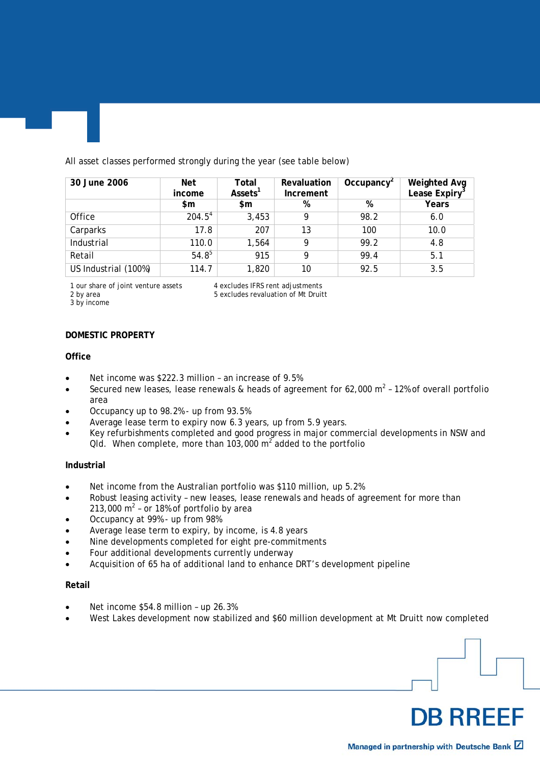All asset classes performed strongly during the year (see table below)

| 30 June 2006         | Net<br>income | Total<br>Assets <sup>1</sup> | Revaluation<br>Increment | Occupancy <sup>2</sup> | <b>Weighted Avg</b><br>Lease Expiry <sup>3</sup> |
|----------------------|---------------|------------------------------|--------------------------|------------------------|--------------------------------------------------|
|                      | \$m           | $\mathsf{sm}$                | %                        | %                      | Years                                            |
| Office               | $204.5^{4}$   | 3,453                        | 9                        | 98.2                   | 6.0                                              |
| Carparks             | 17.8          | 207                          | 13                       | 100                    | 10.0                                             |
| Industrial           | 110.0         | 1,564                        | 9                        | 99.2                   | 4.8                                              |
| Retail               | $54.8^{5}$    | 915                          | 9                        | 99.4                   | 5.1                                              |
| US Industrial (100%) | 114.7         | 1,820                        | 10                       | 92.5                   | 3.5                                              |

3 by income

1 our share of joint venture assets 4 excludes IFRS rent adjustments<br>2 by area 5 excludes revaluation of Mt Druit 5 excludes revaluation of Mt Druitt

#### **DOMESTIC PROPERTY**

#### **Office**

- Net income was \$222.3 million an increase of 9.5%
- Secured new leases, lease renewals & heads of agreement for 62,000 m<sup>2</sup> 12% of overall portfolio area
- Occupancy up to 98.2% up from 93.5%
- Average lease term to expiry now 6.3 years, up from 5.9 years.
- Key refurbishments completed and good progress in major commercial developments in NSW and Qld. When complete, more than 103,000 m<sup>2</sup> added to the portfolio

#### **Industrial**

- Net income from the Australian portfolio was \$110 million, up 5.2%
- Robust leasing activity new leases, lease renewals and heads of agreement for more than 213,000  $m^2$  - or 18% of portfolio by area
- Occupancy at 99% up from 98%
- Average lease term to expiry, by income, is 4.8 years
- Nine developments completed for eight pre-commitments
- Four additional developments currently underway
- Acquisition of 65 ha of additional land to enhance DRT's development pipeline

#### **Retail**

- Net income \$54.8 million up 26.3%
- West Lakes development now stabilized and \$60 million development at Mt Druitt now completed

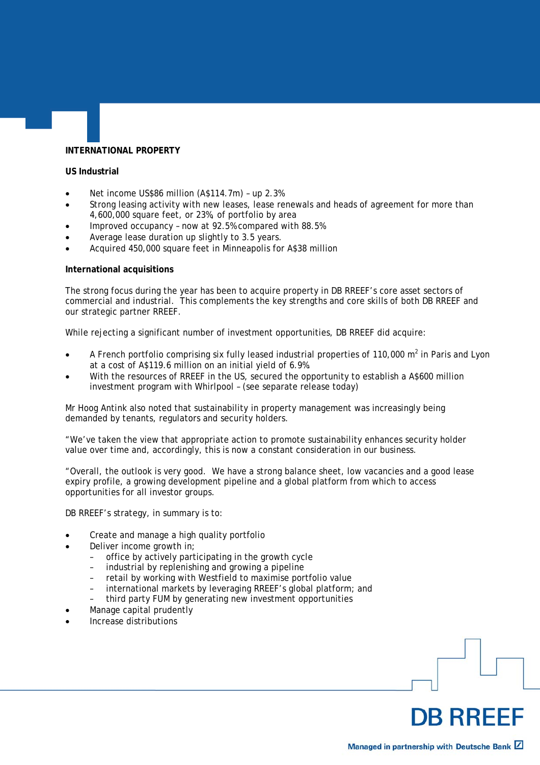#### **INTERNATIONAL PROPERTY**

#### **US Industrial**

- Net income US\$86 million (A\$114.7m) up 2.3%
- Strong leasing activity with new leases, lease renewals and heads of agreement for more than 4,600,000 square feet, or 23%, of portfolio by area
- Improved occupancy now at 92.5% compared with 88.5%
- Average lease duration up slightly to 3.5 years.
- Acquired 450,000 square feet in Minneapolis for A\$38 million

#### **International acquisitions**

The strong focus during the year has been to acquire property in DB RREEF's core asset sectors of commercial and industrial. This complements the key strengths and core skills of both DB RREEF and our strategic partner RREEF.

While rejecting a significant number of investment opportunities, DB RREEF did acquire:

- A French portfolio comprising six fully leased industrial properties of 110,000 m<sup>2</sup> in Paris and Lyon at a cost of A\$119.6 million on an initial yield of 6.9%.
- With the resources of RREEF in the US, secured the opportunity to establish a A\$600 million investment program with Whirlpool – (see separate release today)

Mr Hoog Antink also noted that sustainability in property management was increasingly being demanded by tenants, regulators and security holders.

"We've taken the view that appropriate action to promote sustainability enhances security holder value over time and, accordingly, this is now a constant consideration in our business.

"Overall, the outlook is very good. We have a strong balance sheet, low vacancies and a good lease expiry profile, a growing development pipeline and a global platform from which to access opportunities for all investor groups.

DB RREEF's strategy, in summary is to:

- Create and manage a high quality portfolio
- Deliver income growth in:
	- office by actively participating in the growth cycle
	- industrial by replenishing and growing a pipeline
	- retail by working with Westfield to maximise portfolio value
	- international markets by leveraging RREEF's global platform; and
	- third party FUM by generating new investment opportunities
- Manage capital prudently
- Increase distributions